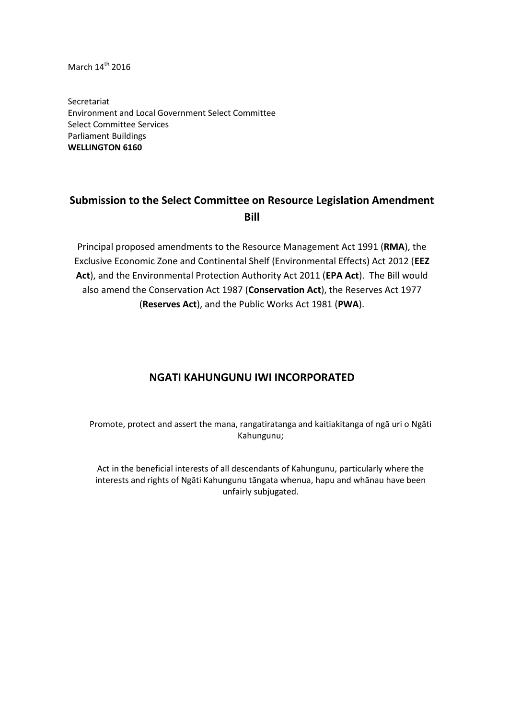March  $14^{\text{th}}$  2016

Secretariat Environment and Local Government Select Committee Select Committee Services Parliament Buildings **WELLINGTON 6160**

# **Submission to the Select Committee on Resource Legislation Amendment Bill**

Principal proposed amendments to the Resource Management Act 1991 (**RMA**), the Exclusive Economic Zone and Continental Shelf (Environmental Effects) Act 2012 (**EEZ Act**), and the Environmental Protection Authority Act 2011 (**EPA Act**). The Bill would also amend the Conservation Act 1987 (**Conservation Act**), the Reserves Act 1977 (**Reserves Act**), and the Public Works Act 1981 (**PWA**).

# **NGATI KAHUNGUNU IWI INCORPORATED**

Promote, protect and assert the mana, rangatiratanga and kaitiakitanga of ngā uri o Ngāti Kahungunu;

Act in the beneficial interests of all descendants of Kahungunu, particularly where the interests and rights of Ngāti Kahungunu tāngata whenua, hapu and whānau have been unfairly subjugated.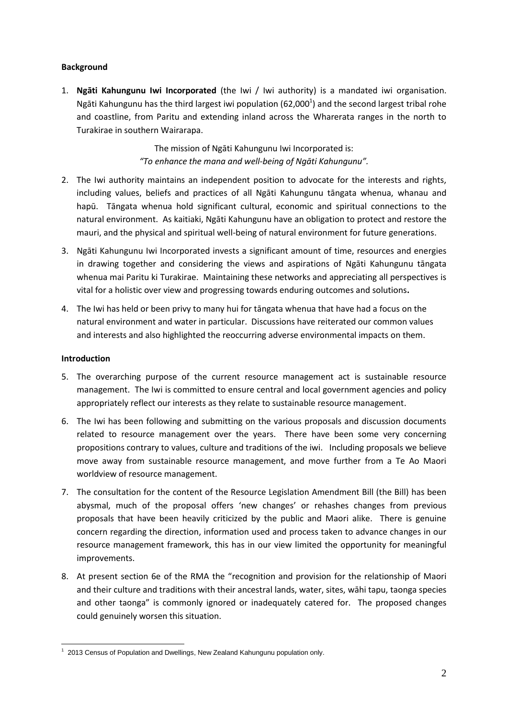# **Background**

1. **Ngāti Kahungunu Iwi Incorporated** (the Iwi / Iwi authority) is a mandated iwi organisation. Ngāti Kahungunu has the third largest iwi population (62,000<sup>1</sup>) and the second largest tribal rohe and coastline, from Paritu and extending inland across the Wharerata ranges in the north to Turakirae in southern Wairarapa.

> The mission of Ngāti Kahungunu Iwi Incorporated is: *"To enhance the mana and well-being of Ngāti Kahungunu".*

- 2. The Iwi authority maintains an independent position to advocate for the interests and rights, including values, beliefs and practices of all Ngāti Kahungunu tāngata whenua, whanau and hapū. Tāngata whenua hold significant cultural, economic and spiritual connections to the natural environment. As kaitiaki, Ngāti Kahungunu have an obligation to protect and restore the mauri, and the physical and spiritual well-being of natural environment for future generations.
- 3. Ngāti Kahungunu Iwi Incorporated invests a significant amount of time, resources and energies in drawing together and considering the views and aspirations of Ngāti Kahungunu tāngata whenua mai Paritu ki Turakirae. Maintaining these networks and appreciating all perspectives is vital for a holistic over view and progressing towards enduring outcomes and solutions**.**
- 4. The Iwi has held or been privy to many hui for tāngata whenua that have had a focus on the natural environment and water in particular. Discussions have reiterated our common values and interests and also highlighted the reoccurring adverse environmental impacts on them.

# **Introduction**

- 5. The overarching purpose of the current resource management act is sustainable resource management. The Iwi is committed to ensure central and local government agencies and policy appropriately reflect our interests as they relate to sustainable resource management.
- 6. The Iwi has been following and submitting on the various proposals and discussion documents related to resource management over the years. There have been some very concerning propositions contrary to values, culture and traditions of the iwi. Including proposals we believe move away from sustainable resource management, and move further from a Te Ao Maori worldview of resource management.
- 7. The consultation for the content of the Resource Legislation Amendment Bill (the Bill) has been abysmal, much of the proposal offers 'new changes' or rehashes changes from previous proposals that have been heavily criticized by the public and Maori alike. There is genuine concern regarding the direction, information used and process taken to advance changes in our resource management framework, this has in our view limited the opportunity for meaningful improvements.
- 8. At present section 6e of the RMA the "recognition and provision for the relationship of Maori and their culture and traditions with their ancestral lands, water, sites, wāhi tapu, taonga species and other taonga" is commonly ignored or inadequately catered for. The proposed changes could genuinely worsen this situation.

**<sup>.</sup>**  $1$  2013 Census of Population and Dwellings, New Zealand Kahungunu population only.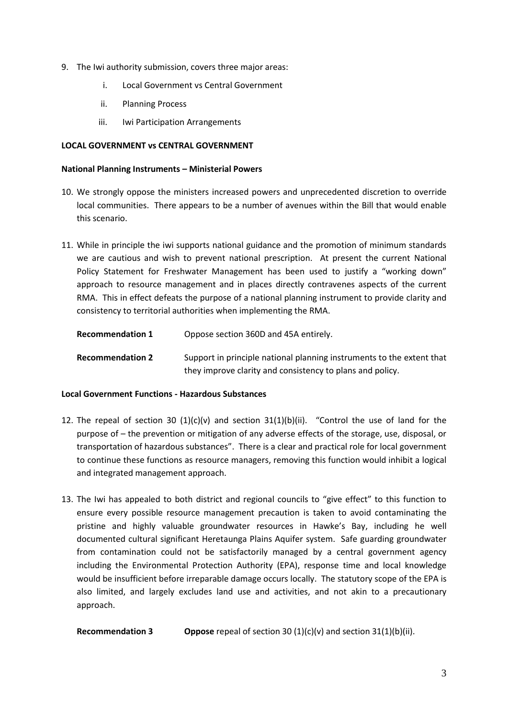- 9. The Iwi authority submission, covers three major areas:
	- i. Local Government vs Central Government
	- ii. Planning Process
	- iii. Iwi Participation Arrangements

## **LOCAL GOVERNMENT vs CENTRAL GOVERNMENT**

## **National Planning Instruments – Ministerial Powers**

- 10. We strongly oppose the ministers increased powers and unprecedented discretion to override local communities. There appears to be a number of avenues within the Bill that would enable this scenario.
- 11. While in principle the iwi supports national guidance and the promotion of minimum standards we are cautious and wish to prevent national prescription. At present the current National Policy Statement for Freshwater Management has been used to justify a "working down" approach to resource management and in places directly contravenes aspects of the current RMA. This in effect defeats the purpose of a national planning instrument to provide clarity and consistency to territorial authorities when implementing the RMA.

| <b>Recommendation 1</b> | Oppose section 360D and 45A entirely.                                                                                              |
|-------------------------|------------------------------------------------------------------------------------------------------------------------------------|
| <b>Recommendation 2</b> | Support in principle national planning instruments to the extent that<br>they improve clarity and consistency to plans and policy. |

## **Local Government Functions - Hazardous Substances**

- 12. The repeal of section 30  $(1)(c)(v)$  and section 31(1)(b)(ii). "Control the use of land for the purpose of – the prevention or mitigation of any adverse effects of the storage, use, disposal, or transportation of hazardous substances". There is a clear and practical role for local government to continue these functions as resource managers, removing this function would inhibit a logical and integrated management approach.
- 13. The Iwi has appealed to both district and regional councils to "give effect" to this function to ensure every possible resource management precaution is taken to avoid contaminating the pristine and highly valuable groundwater resources in Hawke's Bay, including he well documented cultural significant Heretaunga Plains Aquifer system. Safe guarding groundwater from contamination could not be satisfactorily managed by a central government agency including the Environmental Protection Authority (EPA), response time and local knowledge would be insufficient before irreparable damage occurs locally. The statutory scope of the EPA is also limited, and largely excludes land use and activities, and not akin to a precautionary approach.

**Recommendation 3 Oppose** repeal of section 30 (1)(c)(v) and section 31(1)(b)(ii).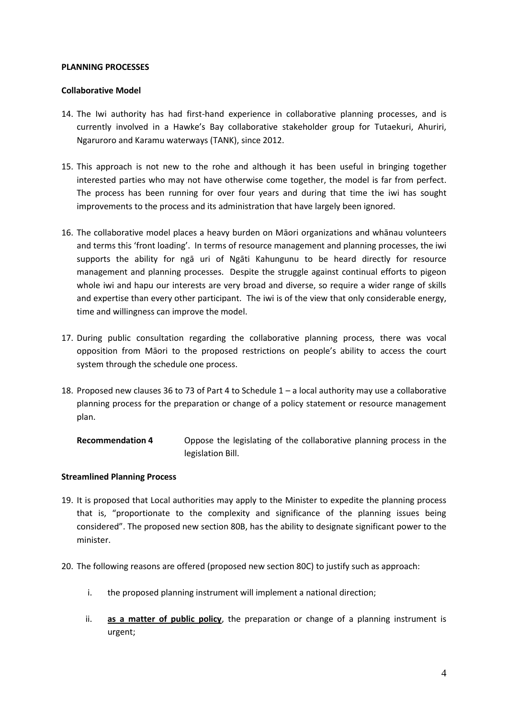#### **PLANNING PROCESSES**

## **Collaborative Model**

- 14. The Iwi authority has had first-hand experience in collaborative planning processes, and is currently involved in a Hawke's Bay collaborative stakeholder group for Tutaekuri, Ahuriri, Ngaruroro and Karamu waterways (TANK), since 2012.
- 15. This approach is not new to the rohe and although it has been useful in bringing together interested parties who may not have otherwise come together, the model is far from perfect. The process has been running for over four years and during that time the iwi has sought improvements to the process and its administration that have largely been ignored.
- 16. The collaborative model places a heavy burden on Māori organizations and whānau volunteers and terms this 'front loading'. In terms of resource management and planning processes, the iwi supports the ability for ngā uri of Ngāti Kahungunu to be heard directly for resource management and planning processes. Despite the struggle against continual efforts to pigeon whole iwi and hapu our interests are very broad and diverse, so require a wider range of skills and expertise than every other participant. The iwi is of the view that only considerable energy, time and willingness can improve the model.
- 17. During public consultation regarding the collaborative planning process, there was vocal opposition from Māori to the proposed restrictions on people's ability to access the court system through the schedule one process.
- 18. Proposed new clauses 36 to 73 of Part 4 to Schedule 1 a local authority may use a collaborative planning process for the preparation or change of a policy statement or resource management plan.

**Recommendation 4** Oppose the legislating of the collaborative planning process in the legislation Bill.

## **Streamlined Planning Process**

- 19. It is proposed that Local authorities may apply to the Minister to expedite the planning process that is, "proportionate to the complexity and significance of the planning issues being considered". The proposed new section 80B, has the ability to designate significant power to the minister.
- 20. The following reasons are offered (proposed new section 80C) to justify such as approach:
	- i. the proposed planning instrument will implement a national direction;
	- ii. **as a matter of public policy**, the preparation or change of a planning instrument is urgent;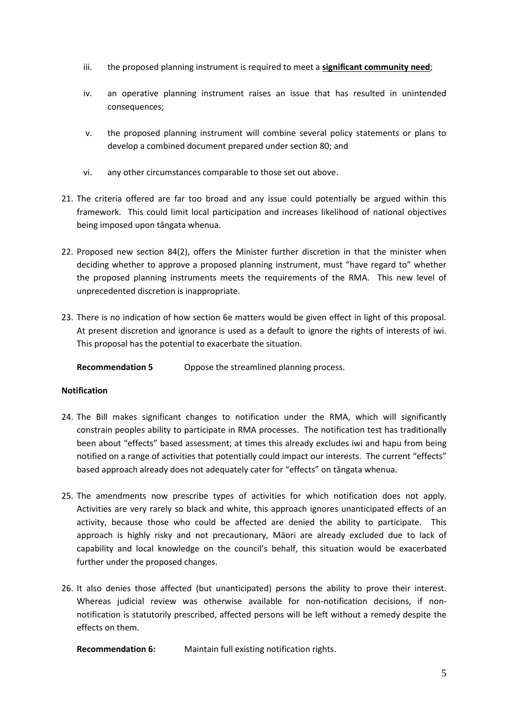- iii. the proposed planning instrument is required to meet a **significant community need**;
- iv. an operative planning instrument raises an issue that has resulted in unintended consequences;
- v. the proposed planning instrument will combine several policy statements or plans to develop a combined document prepared under section 80; and
- vi. any other circumstances comparable to those set out above.
- 21. The criteria offered are far too broad and any issue could potentially be argued within this framework. This could limit local participation and increases likelihood of national objectives being imposed upon tāngata whenua.
- 22. Proposed new section 84(2), offers the Minister further discretion in that the minister when deciding whether to approve a proposed planning instrument, must "have regard to" whether the proposed planning instruments meets the requirements of the RMA. This new level of unprecedented discretion is inappropriate.
- 23. There is no indication of how section 6e matters would be given effect in light of this proposal. At present discretion and ignorance is used as a default to ignore the rights of interests of iwi. This proposal has the potential to exacerbate the situation.

**Recommendation 5** Oppose the streamlined planning process.

# **Notification**

- 24. The Bill makes significant changes to notification under the RMA, which will significantly constrain peoples ability to participate in RMA processes. The notification test has traditionally been about "effects" based assessment; at times this already excludes iwi and hapu from being notified on a range of activities that potentially could impact our interests. The current "effects" based approach already does not adequately cater for "effects" on tāngata whenua.
- 25. The amendments now prescribe types of activities for which notification does not apply. Activities are very rarely so black and white, this approach ignores unanticipated effects of an activity, because those who could be affected are denied the ability to participate. This approach is highly risky and not precautionary, Māori are already excluded due to lack of capability and local knowledge on the council's behalf, this situation would be exacerbated further under the proposed changes.
- 26. It also denies those affected (but unanticipated) persons the ability to prove their interest. Whereas judicial review was otherwise available for non-notification decisions, if nonnotification is statutorily prescribed, affected persons will be left without a remedy despite the effects on them.

**Recommendation 6:** Maintain full existing notification rights.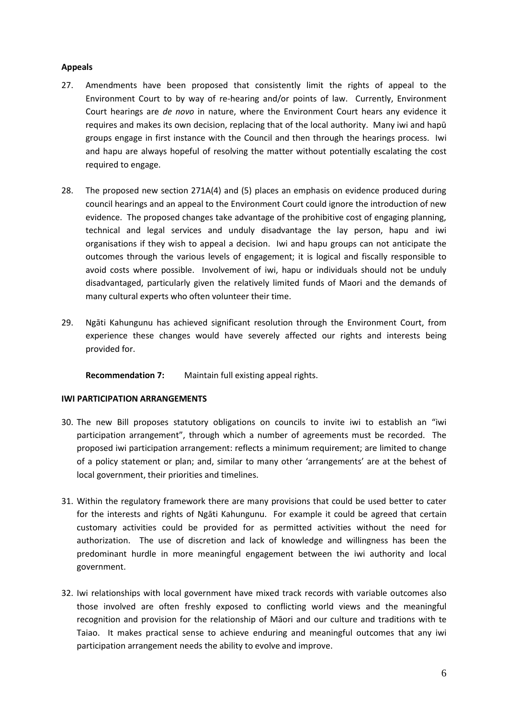# **Appeals**

- 27. Amendments have been proposed that consistently limit the rights of appeal to the Environment Court to by way of re-hearing and/or points of law. Currently, Environment Court hearings are *de novo* in nature, where the Environment Court hears any evidence it requires and makes its own decision, replacing that of the local authority. Many iwi and hapū groups engage in first instance with the Council and then through the hearings process. Iwi and hapu are always hopeful of resolving the matter without potentially escalating the cost required to engage.
- 28. The proposed new section 271A(4) and (5) places an emphasis on evidence produced during council hearings and an appeal to the Environment Court could ignore the introduction of new evidence. The proposed changes take advantage of the prohibitive cost of engaging planning, technical and legal services and unduly disadvantage the lay person, hapu and iwi organisations if they wish to appeal a decision. Iwi and hapu groups can not anticipate the outcomes through the various levels of engagement; it is logical and fiscally responsible to avoid costs where possible. Involvement of iwi, hapu or individuals should not be unduly disadvantaged, particularly given the relatively limited funds of Maori and the demands of many cultural experts who often volunteer their time.
- 29. Ngāti Kahungunu has achieved significant resolution through the Environment Court, from experience these changes would have severely affected our rights and interests being provided for.

**Recommendation 7:** Maintain full existing appeal rights.

## **IWI PARTICIPATION ARRANGEMENTS**

- 30. The new Bill proposes statutory obligations on councils to invite iwi to establish an "iwi participation arrangement", through which a number of agreements must be recorded. The proposed iwi participation arrangement: reflects a minimum requirement; are limited to change of a policy statement or plan; and, similar to many other 'arrangements' are at the behest of local government, their priorities and timelines.
- 31. Within the regulatory framework there are many provisions that could be used better to cater for the interests and rights of Ngāti Kahungunu. For example it could be agreed that certain customary activities could be provided for as permitted activities without the need for authorization. The use of discretion and lack of knowledge and willingness has been the predominant hurdle in more meaningful engagement between the iwi authority and local government.
- 32. Iwi relationships with local government have mixed track records with variable outcomes also those involved are often freshly exposed to conflicting world views and the meaningful recognition and provision for the relationship of Māori and our culture and traditions with te Taiao. It makes practical sense to achieve enduring and meaningful outcomes that any iwi participation arrangement needs the ability to evolve and improve.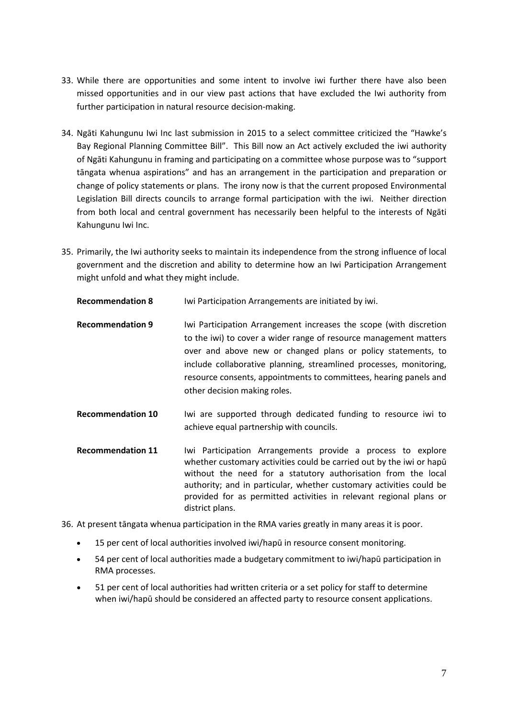- 33. While there are opportunities and some intent to involve iwi further there have also been missed opportunities and in our view past actions that have excluded the Iwi authority from further participation in natural resource decision-making.
- 34. Ngāti Kahungunu Iwi Inc last submission in 2015 to a select committee criticized the "Hawke's Bay Regional Planning Committee Bill". This Bill now an Act actively excluded the iwi authority of Ngāti Kahungunu in framing and participating on a committee whose purpose was to "support tāngata whenua aspirations" and has an arrangement in the participation and preparation or change of policy statements or plans. The irony now is that the current proposed Environmental Legislation Bill directs councils to arrange formal participation with the iwi. Neither direction from both local and central government has necessarily been helpful to the interests of Ngāti Kahungunu Iwi Inc.
- 35. Primarily, the Iwi authority seeks to maintain its independence from the strong influence of local government and the discretion and ability to determine how an Iwi Participation Arrangement might unfold and what they might include.

| <b>Recommendation 8</b> | Iwi Participation Arrangements are initiated by iwi. |  |
|-------------------------|------------------------------------------------------|--|
|-------------------------|------------------------------------------------------|--|

- **Recommendation 9** Iwi Participation Arrangement increases the scope (with discretion to the iwi) to cover a wider range of resource management matters over and above new or changed plans or policy statements, to include collaborative planning, streamlined processes, monitoring, resource consents, appointments to committees, hearing panels and other decision making roles.
- **Recommendation 10** Iwi are supported through dedicated funding to resource iwi to achieve equal partnership with councils.
- **Recommendation 11** Iwi Participation Arrangements provide a process to explore whether customary activities could be carried out by the iwi or hapū without the need for a statutory authorisation from the local authority; and in particular, whether customary activities could be provided for as permitted activities in relevant regional plans or district plans.

36. At present tāngata whenua participation in the RMA varies greatly in many areas it is poor.

- 15 per cent of local authorities involved iwi/hapū in resource consent monitoring.
- 54 per cent of local authorities made a budgetary commitment to iwi/hapū participation in RMA processes.
- 51 per cent of local authorities had written criteria or a set policy for staff to determine when iwi/hapū should be considered an affected party to resource consent applications.